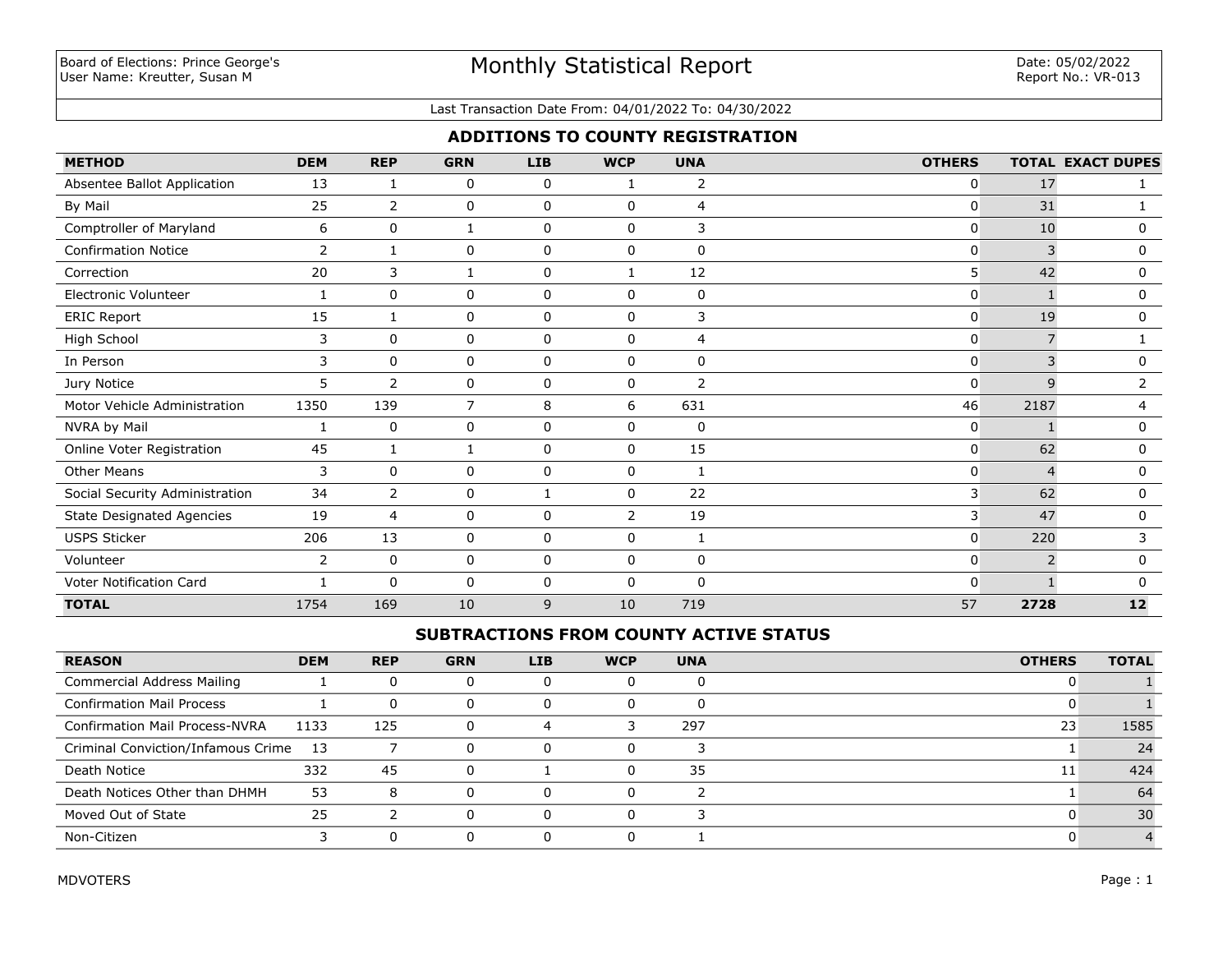#### Last Transaction Date From: 04/01/2022 To: 04/30/2022

## **ADDITIONS TO COUNTY REGISTRATION**

| <b>METHOD</b>                    | <b>DEM</b> | <b>REP</b>     | <b>GRN</b>     | <b>LIB</b>  | <b>WCP</b>     | <b>UNA</b>     | <b>OTHERS</b> |                | <b>TOTAL EXACT DUPES</b> |
|----------------------------------|------------|----------------|----------------|-------------|----------------|----------------|---------------|----------------|--------------------------|
| Absentee Ballot Application      | 13         | 1              | 0              | 0           | 1              | 2              | $\mathbf{0}$  | 17             |                          |
| By Mail                          | 25         | $\overline{2}$ | 0              | $\mathbf 0$ | $\Omega$       | $\overline{4}$ | $\mathbf{0}$  | 31             |                          |
| Comptroller of Maryland          | 6          | 0              | 1              | $\mathbf 0$ | $\mathbf 0$    | 3              | 0             | 10             | 0                        |
| <b>Confirmation Notice</b>       | 2          | 1              | 0              | 0           | $\mathbf 0$    | 0              | 0             | 3              | $\mathbf 0$              |
| Correction                       | 20         | 3              |                | 0           |                | 12             | 5             | 42             | 0                        |
| Electronic Volunteer             |            | $\mathbf 0$    | 0              | $\mathbf 0$ | $\Omega$       | 0              | $\mathbf{0}$  |                | 0                        |
| <b>ERIC Report</b>               | 15         |                | 0              | $\mathbf 0$ | 0              | 3              | 0             | 19             | 0                        |
| High School                      | 3          | $\Omega$       | 0              | $\mathbf 0$ | $\Omega$       | 4              | $\mathbf{0}$  | $\overline{7}$ |                          |
| In Person                        | 3          | $\mathbf 0$    | 0              | $\mathbf 0$ | $\Omega$       | 0              | $\mathbf{0}$  |                | 0                        |
| Jury Notice                      | 5          | 2              | 0              | 0           | $\mathbf{0}$   | 2              | $\Omega$      | 9              | 2                        |
| Motor Vehicle Administration     | 1350       | 139            | $\overline{7}$ | 8           | 6              | 631            | 46            | 2187           | 4                        |
| NVRA by Mail                     | 1          | 0              | 0              | 0           | 0              | 0              | 0             |                | 0                        |
| Online Voter Registration        | 45         | $\mathbf{1}$   | 1              | 0           | $\mathbf{0}$   | 15             | 0             | 62             | 0                        |
| <b>Other Means</b>               | 3          | $\mathbf 0$    | 0              | 0           | 0              | 1              | $\mathbf 0$   | $\Delta$       | 0                        |
| Social Security Administration   | 34         | 2              | 0              |             | $\Omega$       | 22             | 3             | 62             | 0                        |
| <b>State Designated Agencies</b> | 19         | 4              | 0              | 0           | $\overline{2}$ | 19             | 3             | 47             | 0                        |
| <b>USPS Sticker</b>              | 206        | 13             | 0              | $\mathbf 0$ | $\Omega$       | 1              | $\mathbf{0}$  | 220            | 3                        |
| Volunteer                        | 2          | 0              | 0              | 0           | 0              | 0              | 0             | 2              | 0                        |
| Voter Notification Card          |            | $\mathbf{0}$   | 0              | 0           | $\mathbf{0}$   | 0              | $\mathbf{0}$  |                | $\Omega$                 |
| <b>TOTAL</b>                     | 1754       | 169            | 10             | 9           | 10             | 719            | 57            | 2728           | 12                       |

## **SUBTRACTIONS FROM COUNTY ACTIVE STATUS**

| <b>REASON</b>                         | <b>DEM</b> | <b>REP</b> | <b>GRN</b> | <b>LIB</b> | <b>WCP</b> | <b>UNA</b> | <b>OTHERS</b> | <b>TOTAL</b> |
|---------------------------------------|------------|------------|------------|------------|------------|------------|---------------|--------------|
| Commercial Address Mailing            |            |            |            |            |            |            |               |              |
| <b>Confirmation Mail Process</b>      |            |            |            |            |            |            |               |              |
| <b>Confirmation Mail Process-NVRA</b> | 1133       | 125        |            |            |            | 297        | 23            | 1585         |
| Criminal Conviction/Infamous Crime    | - 13       |            |            |            |            |            |               | 24           |
| Death Notice                          | 332        | 45         |            |            |            | 35         | 11            | 424          |
| Death Notices Other than DHMH         | 53         | 8          |            |            |            |            |               | 64           |
| Moved Out of State                    | 25         |            |            |            |            |            |               | 30           |
| Non-Citizen                           |            |            |            |            |            |            |               |              |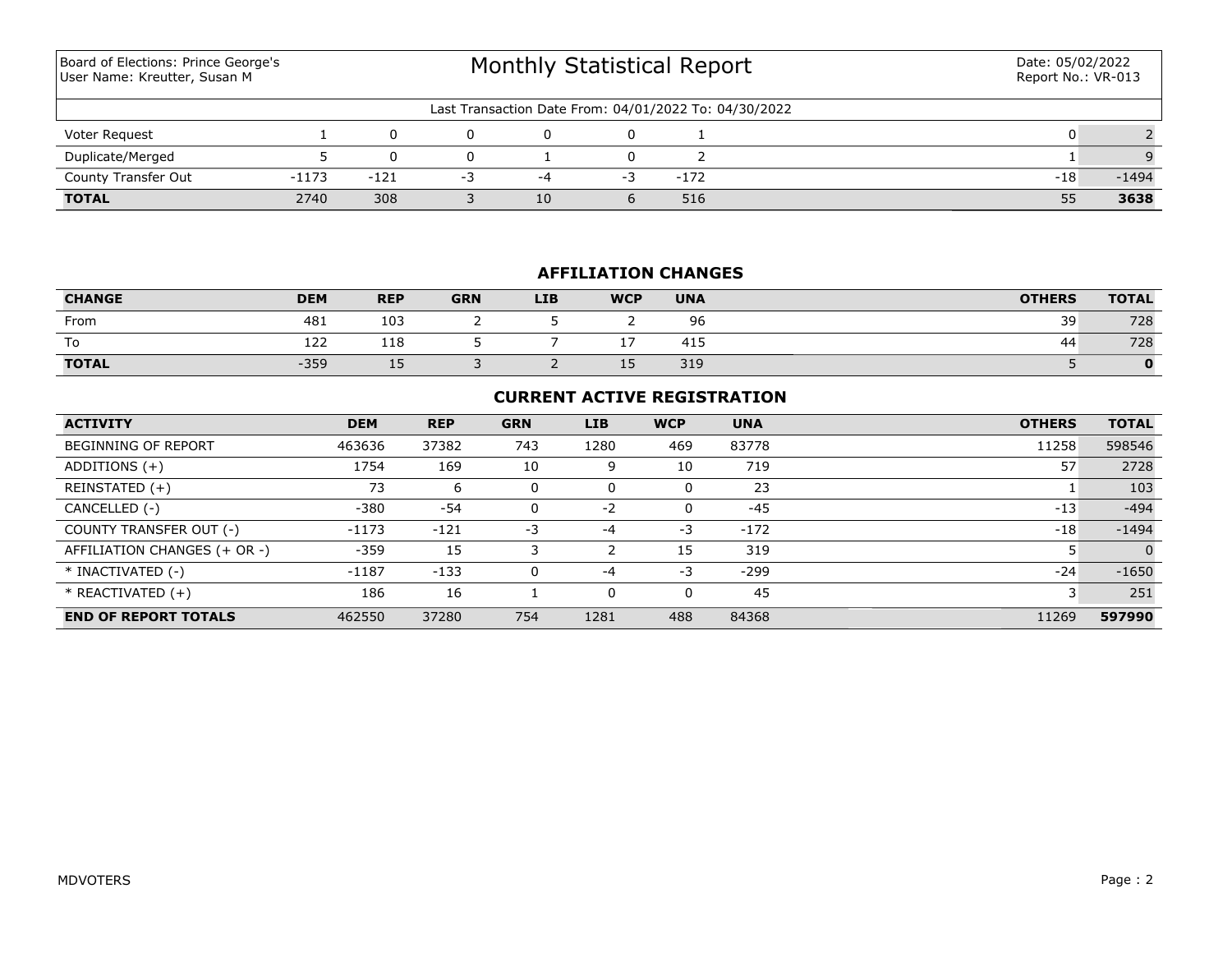| Board of Elections: Prince George's<br>User Name: Kreutter, Susan M |         |        | <b>Monthly Statistical Report</b> | Date: 05/02/2022<br>Report No.: VR-013 |                                                       |        |  |       |         |
|---------------------------------------------------------------------|---------|--------|-----------------------------------|----------------------------------------|-------------------------------------------------------|--------|--|-------|---------|
|                                                                     |         |        |                                   |                                        | Last Transaction Date From: 04/01/2022 To: 04/30/2022 |        |  |       |         |
| Voter Request                                                       |         |        | 0                                 | $\Omega$                               | $\Omega$                                              |        |  |       |         |
| Duplicate/Merged                                                    |         |        | 0                                 |                                        | 0                                                     |        |  |       |         |
| County Transfer Out                                                 | $-1173$ | $-121$ | -3                                | -4                                     | -3                                                    | $-172$ |  | $-18$ | $-1494$ |
| <b>TOTAL</b>                                                        | 2740    | 308    |                                   | 10                                     | h                                                     | 516    |  | 55    | 3638    |

## **AFFILIATION CHANGES**

| <b>CHANGE</b> | <b>DEM</b> | <b>REP</b> | <b>GRN</b> | <b>LIB</b> | <b>WCP</b> | <b>UNA</b>   | <b>OTHERS</b> | <b>TOTAL</b> |
|---------------|------------|------------|------------|------------|------------|--------------|---------------|--------------|
| From          | 481        | 103        |            |            |            | ~~<br>Уб     | 39            | 728          |
| To            | 122        | 110<br>118 |            |            |            | 4.4.5<br>41. | 44            | 728          |
| <b>TOTAL</b>  | $-359$     | ∸~         |            |            | ᅩ          | 319          |               | $\mathbf{O}$ |

## **CURRENT ACTIVE REGISTRATION**

| <b>ACTIVITY</b>              | <b>DEM</b> | <b>REP</b> | <b>GRN</b> | <b>LIB</b> | <b>WCP</b> | <b>UNA</b> | <b>OTHERS</b> | <b>TOTAL</b>   |
|------------------------------|------------|------------|------------|------------|------------|------------|---------------|----------------|
| <b>BEGINNING OF REPORT</b>   | 463636     | 37382      | 743        | 1280       | 469        | 83778      | 11258         | 598546         |
| ADDITIONS $(+)$              | 1754       | 169        | 10         | 9          | 10         | 719        | 57            | 2728           |
| REINSTATED (+)               | 73         | ь          |            | 0          | 0          | 23         |               | 103            |
| CANCELLED (-)                | $-380$     | $-54$      |            | $-2$       | 0          | $-45$      | $-13$         | $-494$         |
| COUNTY TRANSFER OUT (-)      | $-1173$    | $-121$     | -3         | $-4$       | -3         | $-172$     | $-18$         | $-1494$        |
| AFFILIATION CHANGES (+ OR -) | $-359$     | 15         |            |            | 15         | 319        |               | $\overline{0}$ |
| * INACTIVATED (-)            | $-1187$    | $-133$     |            | $-4$       | $-3$       | -299       | $-24$         | $-1650$        |
| $*$ REACTIVATED $(+)$        | 186        | 16         |            | 0          | 0          | 45         |               | 251            |
| <b>END OF REPORT TOTALS</b>  | 462550     | 37280      | 754        | 1281       | 488        | 84368      | 11269         | 597990         |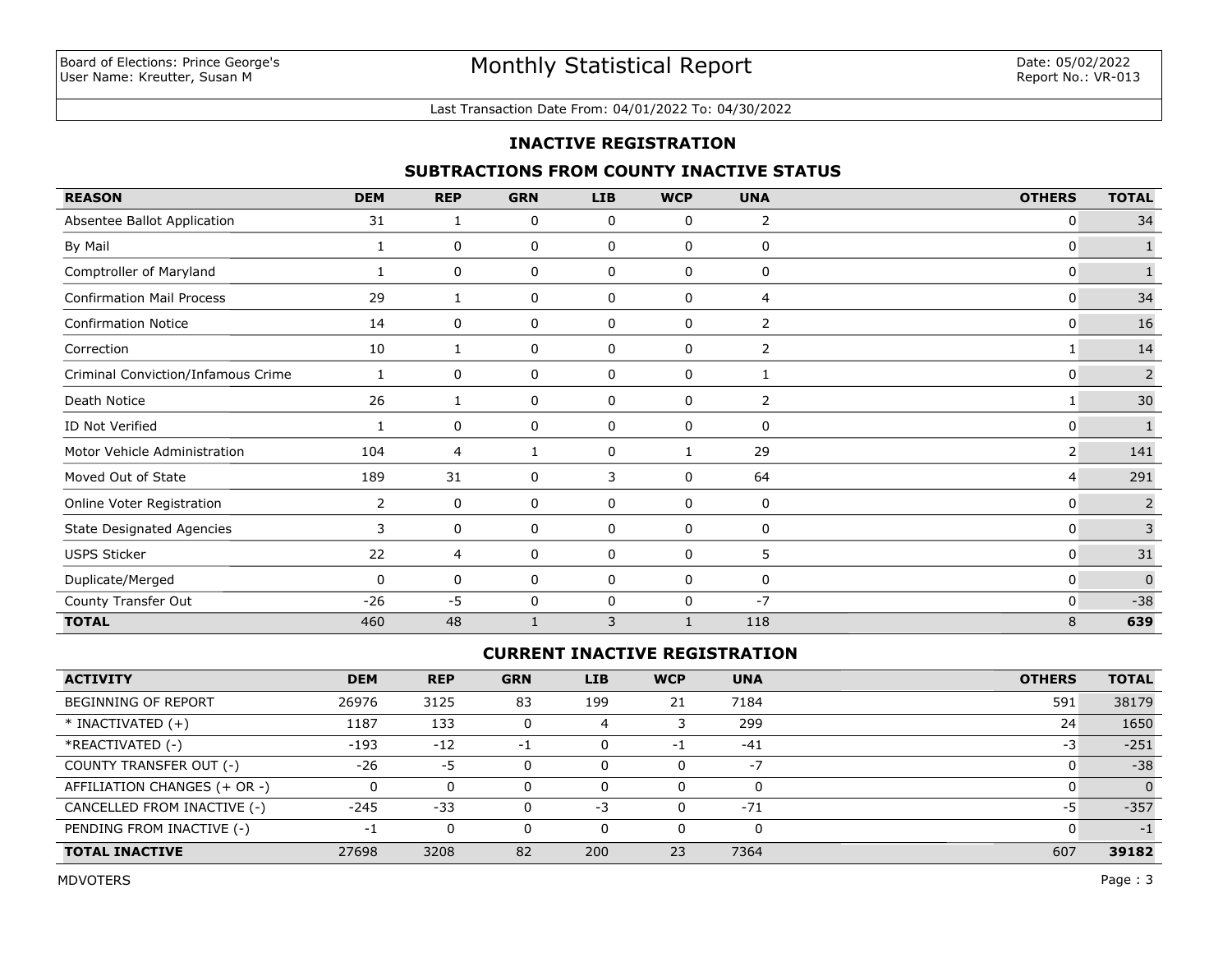#### Last Transaction Date From: 04/01/2022 To: 04/30/2022

### **INACTIVE REGISTRATION**

## **SUBTRACTIONS FROM COUNTY INACTIVE STATUS**

| <b>REASON</b>                      | <b>DEM</b>     | <b>REP</b> | <b>GRN</b>   | <b>LIB</b>  | <b>WCP</b>   | <b>UNA</b>     | <b>OTHERS</b> | <b>TOTAL</b>   |
|------------------------------------|----------------|------------|--------------|-------------|--------------|----------------|---------------|----------------|
| Absentee Ballot Application        | 31             |            | 0            | 0           | 0            | 2              | 0             | 34             |
| By Mail                            | 1              | 0          | 0            | 0           | 0            | 0              | 0             |                |
| Comptroller of Maryland            |                | 0          | 0            | $\mathbf 0$ | $\mathbf 0$  | $\mathbf 0$    | 0             | $\mathbf{1}$   |
| <b>Confirmation Mail Process</b>   | 29             | 1          | 0            | 0           | 0            | 4              | 0             | 34             |
| <b>Confirmation Notice</b>         | 14             | 0          | 0            | 0           | 0            | 2              | 0             | 16             |
| Correction                         | 10             |            | 0            | 0           | 0            | $\overline{2}$ |               | 14             |
| Criminal Conviction/Infamous Crime | 1              | 0          | 0            | 0           | 0            | 1              | 0             | $\overline{c}$ |
| Death Notice                       | 26             | 1          | 0            | 0           | 0            | 2              | 1             | 30             |
| ID Not Verified                    | -1             | 0          | 0            | $\mathbf 0$ | $\mathbf 0$  | $\mathbf 0$    | 0             |                |
| Motor Vehicle Administration       | 104            | 4          | 1            | 0           | $\mathbf{1}$ | 29             | 2             | 141            |
| Moved Out of State                 | 189            | 31         | 0            | 3           | $\mathbf 0$  | 64             | 4             | 291            |
| Online Voter Registration          | $\overline{2}$ | 0          | 0            | 0           | 0            | 0              | 0             | $\overline{2}$ |
| <b>State Designated Agencies</b>   | 3              | 0          | 0            | 0           | $\mathbf 0$  | 0              | 0             | $\overline{3}$ |
| <b>USPS Sticker</b>                | 22             | 4          | 0            | 0           | 0            | 5              | 0             | 31             |
| Duplicate/Merged                   | 0              | 0          | 0            | 0           | 0            | 0              | 0             | $\mathbf{0}$   |
| County Transfer Out                | $-26$          | $-5$       | 0            | 0           | 0            | $-7$           | 0             | $-38$          |
| <b>TOTAL</b>                       | 460            | 48         | $\mathbf{1}$ | 3           | 1            | 118            | 8             | 639            |

## **CURRENT INACTIVE REGISTRATION**

| <b>ACTIVITY</b>              | <b>DEM</b> | <b>REP</b> | <b>GRN</b> | <b>LIB</b> | <b>WCP</b> | <b>UNA</b> | <b>OTHERS</b> | <b>TOTAL</b> |
|------------------------------|------------|------------|------------|------------|------------|------------|---------------|--------------|
| BEGINNING OF REPORT          | 26976      | 3125       | 83         | 199        | 21         | 7184       | 591           | 38179        |
| $*$ INACTIVATED $(+)$        | 1187       | 133        |            |            |            | 299        | 24            | 1650         |
| *REACTIVATED (-)             | $-193$     | $-12$      | -1         | 0          | $-1$       | $-41$      | -3            | $-251$       |
| COUNTY TRANSFER OUT (-)      | $-26$      | -5         |            | 0          |            | $-1$       |               | $-38$        |
| AFFILIATION CHANGES (+ OR -) |            | 0          |            | 0          |            | O          |               | $\Omega$     |
| CANCELLED FROM INACTIVE (-)  | $-245$     | $-33$      |            | $-3$       | $\Omega$   | $-71$      | -5            | $-357$       |
| PENDING FROM INACTIVE (-)    | - 1        | 0          |            | 0          |            | $\Omega$   |               | $-1$         |
| <b>TOTAL INACTIVE</b>        | 27698      | 3208       | 82         | 200        | 23         | 7364       | 607           | 39182        |